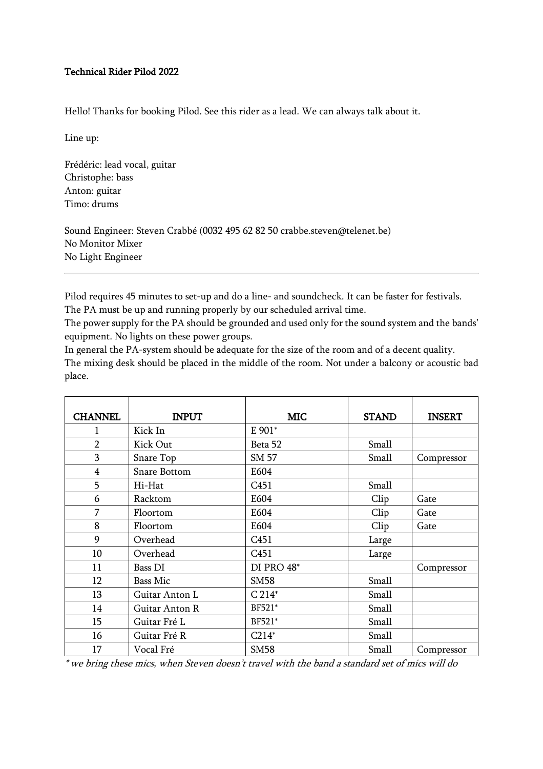#### Technical Rider Pilod 2022

Hello! Thanks for booking Pilod. See this rider as a lead. We can always talk about it.

Line up:

Frédéric: lead vocal, guitar Christophe: bass Anton: guitar Timo: drums

Sound Engineer: Steven Crabbé (0032 495 62 82 50 crabbe.steven@telenet.be) No Monitor Mixer No Light Engineer

Pilod requires 45 minutes to set-up and do a line- and soundcheck. It can be faster for festivals. The PA must be up and running properly by our scheduled arrival time.

The power supply for the PA should be grounded and used only for the sound system and the bands' equipment. No lights on these power groups.

In general the PA-system should be adequate for the size of the room and of a decent quality. The mixing desk should be placed in the middle of the room. Not under a balcony or acoustic bad place.

| <b>CHANNEL</b> | <b>INPUT</b>        | <b>MIC</b>       | <b>STAND</b> | <b>INSERT</b> |
|----------------|---------------------|------------------|--------------|---------------|
| 1              | Kick In             | E 901*           |              |               |
| $\overline{2}$ | Kick Out            | Beta 52          | Small        |               |
| 3              | Snare Top           | <b>SM 57</b>     | Small        | Compressor    |
| $\overline{4}$ | <b>Snare Bottom</b> | E604             |              |               |
| 5              | Hi-Hat              | C <sub>451</sub> | Small        |               |
| 6              | Racktom             | E604             | Clip         | Gate          |
| 7              | Floortom            | E604             | Clip         | Gate          |
| 8              | Floortom            | E604             | Clip         | Gate          |
| 9              | Overhead            | C451             | Large        |               |
| 10             | Overhead            | C451             | Large        |               |
| 11             | Bass DI             | DI PRO 48*       |              | Compressor    |
| 12             | <b>Bass Mic</b>     | <b>SM58</b>      | Small        |               |
| 13             | Guitar Anton L      | $C214*$          | Small        |               |
| 14             | Guitar Anton R      | BF521*           | Small        |               |
| 15             | Guitar Fré L        | BF521*           | Small        |               |
| 16             | Guitar Fré R        | $C214*$          | Small        |               |
| 17             | Vocal Fré           | <b>SM58</b>      | Small        | Compressor    |

\* we bring these mics, when Steven doesn't travel with the band a standard set of mics will do